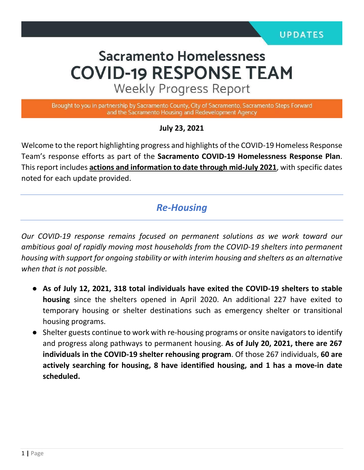# **Sacramento Homelessness COVID-19 RESPONSE TEAM**

**Weekly Progress Report** 

Brought to you in partnership by Sacramento County, City of Sacramento, Sacramento Steps Forward and the Sacramento Housing and Redevelopment Agency

**July 23, 2021**

Welcome to the report highlighting progress and highlights of the COVID-19 Homeless Response Team's response efforts as part of the **Sacramento COVID-19 Homelessness Response Plan**. This report includes **actions and information to date through mid-July 2021**, with specific dates noted for each update provided.

#### *Re-Housing*

*Our COVID-19 response remains focused on permanent solutions as we work toward our ambitious goal of rapidly moving most households from the COVID-19 shelters into permanent housing with support for ongoing stability or with interim housing and shelters as an alternative when that is not possible.* 

- **As of July 12, 2021, 318 total individuals have exited the COVID-19 shelters to stable housing** since the shelters opened in April 2020. An additional 227 have exited to temporary housing or shelter destinations such as emergency shelter or transitional housing programs.
- Shelter guests continue to work with re-housing programs or onsite navigators to identify and progress along pathways to permanent housing. **As of July 20, 2021, there are 267 individuals in the COVID-19 shelter rehousing program**. Of those 267 individuals, **60 are actively searching for housing, 8 have identified housing, and 1 has a move-in date scheduled.**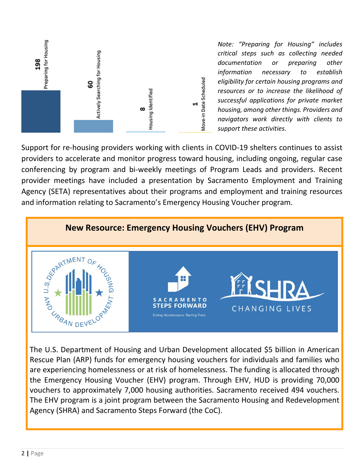

*Note: "Preparing for Housing" includes critical steps such as collecting needed documentation or preparing other information necessary to establish eligibility for certain housing programs and resources or to increase the likelihood of successful applications for private market housing, among other things. Providers and navigators work directly with clients to support these activities.*

Support for re-housing providers working with clients in COVID-19 shelters continues to assist providers to accelerate and monitor progress toward housing, including ongoing, regular case conferencing by program and bi-weekly meetings of Program Leads and providers. Recent provider meetings have included a presentation by Sacramento Employment and Training Agency (SETA) representatives about their programs and employment and training resources and information relating to Sacramento's Emergency Housing Voucher program.



Rescue Plan (ARP) funds for emergency housing vouchers for individuals and families who are experiencing homelessness or at risk of homelessness. The funding is allocated through the Emergency Housing Voucher (EHV) program. Through EHV, HUD is providing 70,000 vouchers to approximately 7,000 housing authorities. Sacramento received 494 vouchers. The EHV program is a joint program between the Sacramento Housing and Redevelopment Agency (SHRA) and Sacramento Steps Forward (the CoC).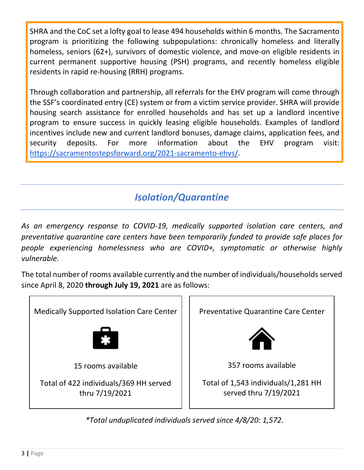SHRA and the CoC set a lofty goal to lease 494 households within 6 months. The Sacramento program is prioritizing the following subpopulations: chronically homeless and literally homeless, seniors (62+), survivors of domestic violence, and move-on eligible residents in current permanent supportive housing (PSH) programs, and recently homeless eligible residents in rapid re-housing (RRH) programs.

Through collaboration and partnership, all referrals for the EHV program will come through the SSF's coordinated entry (CE) system or from a victim service provider. SHRA will provide housing search assistance for enrolled households and has set up a landlord incentive program to ensure success in quickly leasing eligible households. Examples of landlord incentives include new and current landlord bonuses, damage claims, application fees, and security deposits. For more information about the EHV program visit: [https://sacramentostepsforward.org/2021-sacramento-ehvs/.](https://sacramentostepsforward.org/2021-sacramento-ehvs/)

## *Isolation/Quarantine*

*As an emergency response to COVID-19, medically supported isolation care centers, and preventative quarantine care centers have been temporarily funded to provide safe places for people experiencing homelessness who are COVID+, symptomatic or otherwise highly vulnerable.*

The total number of rooms available currently and the number of individuals/households served since April 8, 2020 **through July 19, 2021** are as follows:

Medically Supported Isolation Care Center 15 rooms available Total of 422 individuals/369 HH served thru 7/19/2021 Preventative Quarantine Care Center 357 rooms available Total of 1,543 individuals/1,281 HH served thru 7/19/2021

*\*Total unduplicated individuals served since 4/8/20: 1,572.*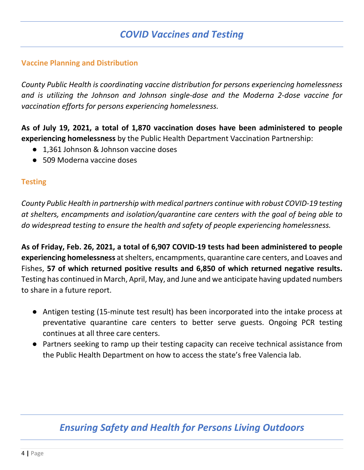## *COVID Vaccines and Testing*

#### **Vaccine Planning and Distribution**

*County Public Health is coordinating vaccine distribution for persons experiencing homelessness and is utilizing the Johnson and Johnson single-dose and the Moderna 2-dose vaccine for vaccination efforts for persons experiencing homelessness.* 

**As of July 19, 2021, a total of 1,870 vaccination doses have been administered to people experiencing homelessness** by the Public Health Department Vaccination Partnership:

- 1,361 Johnson & Johnson vaccine doses
- 509 Moderna vaccine doses

#### **Testing**

*County Public Health in partnership with medical partners continue with robust COVID-19 testing at shelters, encampments and isolation/quarantine care centers with the goal of being able to do widespread testing to ensure the health and safety of people experiencing homelessness.* 

**As of Friday, Feb. 26, 2021, a total of 6,907 COVID-19 tests had been administered to people experiencing homelessness** at shelters, encampments, quarantine care centers, and Loaves and Fishes, **57 of which returned positive results and 6,850 of which returned negative results.**  Testing has continued in March, April, May, and June and we anticipate having updated numbers to share in a future report.

- Antigen testing (15-minute test result) has been incorporated into the intake process at preventative quarantine care centers to better serve guests. Ongoing PCR testing continues at all three care centers.
- Partners seeking to ramp up their testing capacity can receive technical assistance from the Public Health Department on how to access the state's free Valencia lab.

## *Ensuring Safety and Health for Persons Living Outdoors*